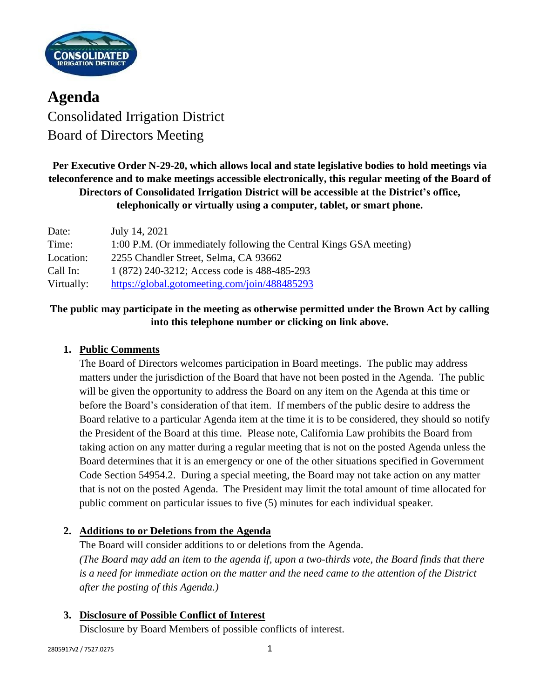

**Agenda** Consolidated Irrigation District Board of Directors Meeting

**Per Executive Order N-29-20, which allows local and state legislative bodies to hold meetings via teleconference and to make meetings accessible electronically, this regular meeting of the Board of Directors of Consolidated Irrigation District will be accessible at the District's office, telephonically or virtually using a computer, tablet, or smart phone.**

| Date:      | July 14, 2021                                                      |
|------------|--------------------------------------------------------------------|
| Time:      | 1:00 P.M. (Or immediately following the Central Kings GSA meeting) |
| Location:  | 2255 Chandler Street, Selma, CA 93662                              |
| Call In:   | 1 (872) 240-3212; Access code is 488-485-293                       |
| Virtually: | https://global.gotomeeting.com/join/488485293                      |

# **The public may participate in the meeting as otherwise permitted under the Brown Act by calling into this telephone number or clicking on link above.**

## **1. Public Comments**

The Board of Directors welcomes participation in Board meetings. The public may address matters under the jurisdiction of the Board that have not been posted in the Agenda. The public will be given the opportunity to address the Board on any item on the Agenda at this time or before the Board's consideration of that item. If members of the public desire to address the Board relative to a particular Agenda item at the time it is to be considered, they should so notify the President of the Board at this time. Please note, California Law prohibits the Board from taking action on any matter during a regular meeting that is not on the posted Agenda unless the Board determines that it is an emergency or one of the other situations specified in Government Code Section 54954.2. During a special meeting, the Board may not take action on any matter that is not on the posted Agenda. The President may limit the total amount of time allocated for public comment on particular issues to five (5) minutes for each individual speaker.

## **2. Additions to or Deletions from the Agenda**

The Board will consider additions to or deletions from the Agenda. *(The Board may add an item to the agenda if, upon a two-thirds vote, the Board finds that there is a need for immediate action on the matter and the need came to the attention of the District after the posting of this Agenda.)*

## **3. Disclosure of Possible Conflict of Interest**

Disclosure by Board Members of possible conflicts of interest.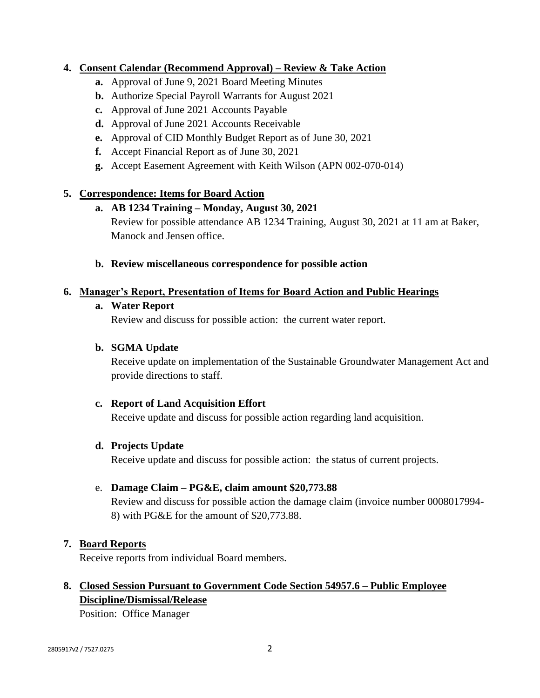### **4. Consent Calendar (Recommend Approval) – Review & Take Action**

- **a.** Approval of June 9, 2021 Board Meeting Minutes
- **b.** Authorize Special Payroll Warrants for August 2021
- **c.** Approval of June 2021 Accounts Payable
- **d.** Approval of June 2021 Accounts Receivable
- **e.** Approval of CID Monthly Budget Report as of June 30, 2021
- **f.** Accept Financial Report as of June 30, 2021
- **g.** Accept Easement Agreement with Keith Wilson (APN 002-070-014)

### **5. Correspondence: Items for Board Action**

### **a. AB 1234 Training – Monday, August 30, 2021**

Review for possible attendance AB 1234 Training, August 30, 2021 at 11 am at Baker, Manock and Jensen office.

**b. Review miscellaneous correspondence for possible action**

#### **6. Manager's Report, Presentation of Items for Board Action and Public Hearings**

#### **a. Water Report**

Review and discuss for possible action: the current water report.

### **b. SGMA Update**

Receive update on implementation of the Sustainable Groundwater Management Act and provide directions to staff.

#### **c. Report of Land Acquisition Effort**

Receive update and discuss for possible action regarding land acquisition.

#### **d. Projects Update**

Receive update and discuss for possible action: the status of current projects.

#### e. **Damage Claim – PG&E, claim amount \$20,773.88**

Review and discuss for possible action the damage claim (invoice number 0008017994- 8) with PG&E for the amount of \$20,773.88.

#### **7. Board Reports**

Receive reports from individual Board members.

# **8. Closed Session Pursuant to Government Code Section 54957.6 – Public Employee Discipline/Dismissal/Release**

Position: Office Manager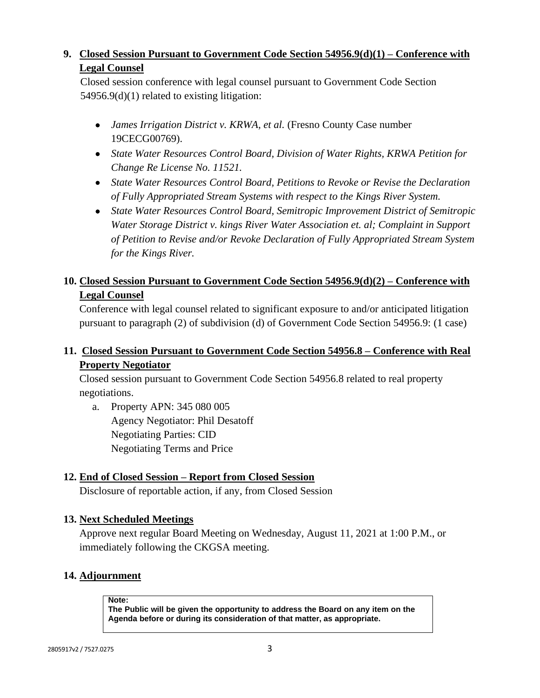# **9. Closed Session Pursuant to Government Code Section 54956.9(d)(1) – Conference with Legal Counsel**

Closed session conference with legal counsel pursuant to Government Code Section 54956.9(d)(1) related to existing litigation:

- *James Irrigation District v. KRWA, et al.* (Fresno County Case number 19CECG00769).
- *State Water Resources Control Board, Division of Water Rights, KRWA Petition for Change Re License No. 11521.*
- *State Water Resources Control Board, Petitions to Revoke or Revise the Declaration of Fully Appropriated Stream Systems with respect to the Kings River System.*
- *State Water Resources Control Board, Semitropic Improvement District of Semitropic Water Storage District v. kings River Water Association et. al; Complaint in Support of Petition to Revise and/or Revoke Declaration of Fully Appropriated Stream System for the Kings River.*

# **10. Closed Session Pursuant to Government Code Section 54956.9(d)(2) – Conference with Legal Counsel**

Conference with legal counsel related to significant exposure to and/or anticipated litigation pursuant to paragraph (2) of subdivision (d) of Government Code Section 54956.9: (1 case)

# **11. Closed Session Pursuant to Government Code Section 54956.8 – Conference with Real Property Negotiator**

Closed session pursuant to Government Code Section 54956.8 related to real property negotiations.

a. Property APN: 345 080 005 Agency Negotiator: Phil Desatoff Negotiating Parties: CID Negotiating Terms and Price

# **12. End of Closed Session – Report from Closed Session**

Disclosure of reportable action, if any, from Closed Session

## **13. Next Scheduled Meetings**

Approve next regular Board Meeting on Wednesday, August 11, 2021 at 1:00 P.M., or immediately following the CKGSA meeting.

## **14. Adjournment**

**Note:**

**The Public will be given the opportunity to address the Board on any item on the Agenda before or during its consideration of that matter, as appropriate.**